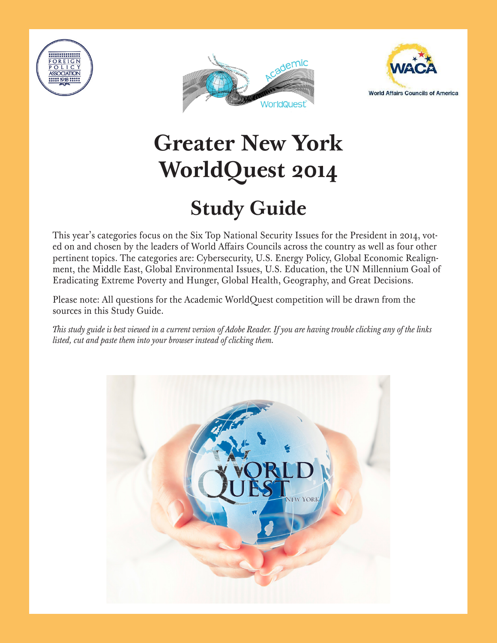





# **Greater New York WorldQuest 2014**

# **Study Guide**

ed on and chosen by the leaders of World Affairs Councils across the country as well as four other pertinent topics. The categories are: Cybersecurity, U.S. Energy Policy, Global Economic Realign**more to prepare for the competition.** ment, the Middle East, Global Environmental Issues, U.S. Education, the UN Millennium Goal of This year's categories focus on the Six Top National Security Issues for the President in 2014, vot-Eradicating Extreme Poverty and Hunger, Global Health, Geography, and Great Decisions.

Please note: All questions for the Academic WorldQuest competition will be drawn from the **this Study Guide.** sources in this Study Guide.

This study guide is best viewed in a current version of Adobe Reader. If you are having trouble clicking any of the links *of the links listed, cut and paste them into your browser instead of clicking them. listed, cut and paste them into your browser instead of clicking them.*

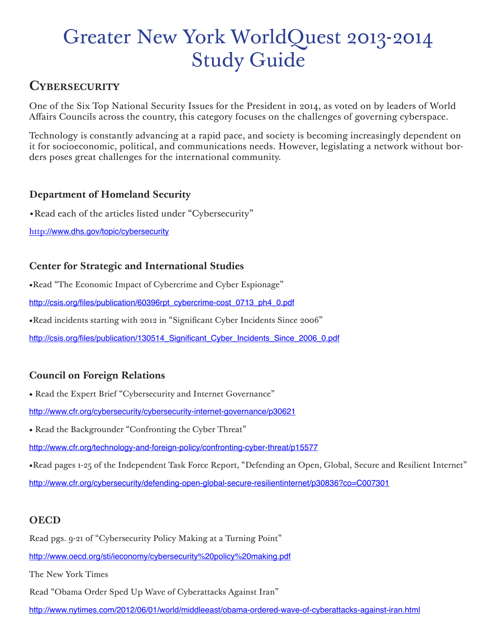# Greater New York WorldQuest 2013-2014 Study Guide

# **Cybersecurity**

One of the Six Top National Security Issues for the President in 2014, as voted on by leaders of World Affairs Councils across the country, this category focuses on the challenges of governing cyberspace.

Technology is constantly advancing at a rapid pace, and society is becoming increasingly dependent on it for socioeconomic, political, and communications needs. However, legislating a network without borders poses great challenges for the international community.

## **Department of Homeland Security**

•Read each of the articles listed under "Cybersecurity"

http://www.dhs.gov/topic/cybersecurity

# **Center for Strategic and International Studies**

•Read "The Economic Impact of Cybercrime and Cyber Espionage"

http://csis.org/files/publication/60396rpt\_cybercrime-cost\_0713\_ph4\_0.pdf

•Read incidents starting with 2012 in "Significant Cyber Incidents Since 2006"

http://csis.org/files/publication/130514\_Significant\_Cyber\_Incidents\_Since\_2006\_0.pdf

# **Council on Foreign Relations**

• Read the Expert Brief "Cybersecurity and Internet Governance"

http://www.cfr.org/cybersecurity/cybersecurity-internet-governance/p30621

• Read the Backgrounder "Confronting the Cyber Threat"

http://www.cfr.org/technology-and-foreign-policy/confronting-cyber-threat/p15577

•Read pages 1-25 of the Independent Task Force Report, "Defending an Open, Global, Secure and Resilient Internet" http://www.cfr.org/cybersecurity/defending-open-global-secure-resilientinternet/p30836?co=C007301

# **OECD**

Read pgs. 9-21 of "Cybersecurity Policy Making at a Turning Point"

http://www.oecd.org/sti/ieconomy/cybersecurity%20policy%20making.pdf

The New York Times

Read "Obama Order Sped Up Wave of Cyberattacks Against Iran"

http://www.nytimes.com/2012/06/01/world/middleeast/obama-ordered-wave-of-cyberattacks-against-iran.html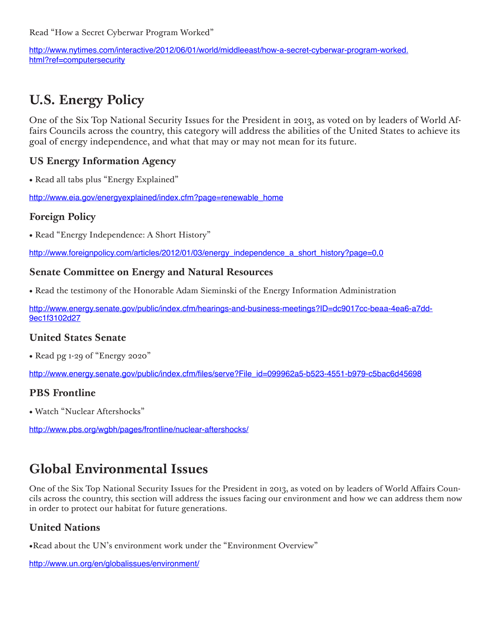Read "How a Secret Cyberwar Program Worked"

http://www.nytimes.com/interactive/2012/06/01/world/middleeast/how-a-secret-cyberwar-program-worked. html?ref=computersecurity

# **U.S. Energy Policy**

One of the Six Top National Security Issues for the President in 2013, as voted on by leaders of World Affairs Councils across the country, this category will address the abilities of the United States to achieve its goal of energy independence, and what that may or may not mean for its future.

#### **US Energy Information Agency**

• Read all tabs plus "Energy Explained"

http://www.eia.gov/energyexplained/index.cfm?page=renewable\_home

#### **Foreign Policy**

• Read "Energy Independence: A Short History"

http://www.foreignpolicy.com/articles/2012/01/03/energy\_independence\_a\_short\_history?page=0,0

#### **Senate Committee on Energy and Natural Resources**

• Read the testimony of the Honorable Adam Sieminski of the Energy Information Administration

http://www.energy.senate.gov/public/index.cfm/hearings-and-business-meetings?ID=dc9017cc-beaa-4ea6-a7dd-9ec1f3102d27

#### **United States Senate**

• Read pg 1-29 of "Energy 2020"

http://www.energy.senate.gov/public/index.cfm/files/serve?File\_id=099962a5-b523-4551-b979-c5bac6d45698

#### **PBS Frontline**

• Watch "Nuclear Aftershocks"

http://www.pbs.org/wgbh/pages/frontline/nuclear-aftershocks/

# **Global Environmental Issues**

One of the Six Top National Security Issues for the President in 2013, as voted on by leaders of World Affairs Councils across the country, this section will address the issues facing our environment and how we can address them now in order to protect our habitat for future generations.

#### **United Nations**

•Read about the UN's environment work under the "Environment Overview"

http://www.un.org/en/globalissues/environment/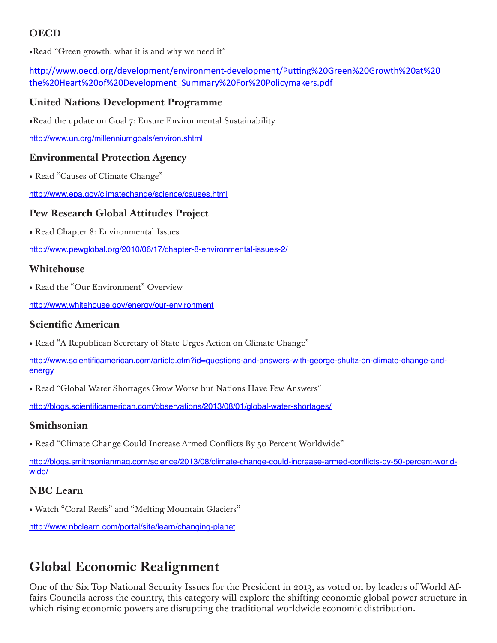# **OECD**

•Read "Green growth: what it is and why we need it"

http://www.oecd.org/development/environment-development/Putting%20Green%20Growth%20at%20 the%20Heart%20of%20Development\_Summary%20For%20Policymakers.pdf

#### **United Nations Development Programme**

•Read the update on Goal 7: Ensure Environmental Sustainability

http://www.un.org/millenniumgoals/environ.shtml

#### **Environmental Protection Agency**

• Read "Causes of Climate Change"

http://www.epa.gov/climatechange/science/causes.html

#### **Pew Research Global Attitudes Project**

• Read Chapter 8: Environmental Issues

http://www.pewglobal.org/2010/06/17/chapter-8-environmental-issues-2/

#### **Whitehouse**

• Read the "Our Environment" Overview

http://www.whitehouse.gov/energy/our-environment

#### **Scientific American**

• Read "A Republican Secretary of State Urges Action on Climate Change"

http://www.scientificamerican.com/article.cfm?id=questions-and-answers-with-george-shultz-on-climate-change-andenergy

• Read "Global Water Shortages Grow Worse but Nations Have Few Answers"

http://blogs.scientificamerican.com/observations/2013/08/01/global-water-shortages/

#### **Smithsonian**

• Read "Climate Change Could Increase Armed Conflicts By 50 Percent Worldwide"

http://blogs.smithsonianmag.com/science/2013/08/climate-change-could-increase-armed-conflicts-by-50-percent-worldwide/

#### **NBC Learn**

• Watch "Coral Reefs" and "Melting Mountain Glaciers"

http://www.nbclearn.com/portal/site/learn/changing-planet

# **Global Economic Realignment**

One of the Six Top National Security Issues for the President in 2013, as voted on by leaders of World Affairs Councils across the country, this category will explore the shifting economic global power structure in which rising economic powers are disrupting the traditional worldwide economic distribution.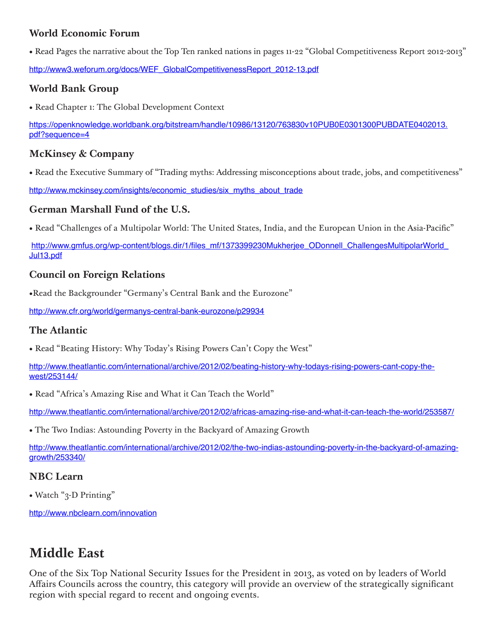## **World Economic Forum**

• Read Pages the narrative about the Top Ten ranked nations in pages 11-22 "Global Competitiveness Report 2012-2013"

http://www3.weforum.org/docs/WEF\_GlobalCompetitivenessReport\_2012-13.pdf

# **World Bank Group**

• Read Chapter 1: The Global Development Context

https://openknowledge.worldbank.org/bitstream/handle/10986/13120/763830v10PUB0E0301300PUBDATE0402013. pdf?sequence=4

### **McKinsey & Company**

• Read the Executive Summary of "Trading myths: Addressing misconceptions about trade, jobs, and competitiveness"

http://www.mckinsey.com/insights/economic\_studies/six\_myths\_about\_trade

## **German Marshall Fund of the U.S.**

• Read "Challenges of a Multipolar World: The United States, India, and the European Union in the Asia-Pacific"

http://www.gmfus.org/wp-content/blogs.dir/1/files\_mf/1373399230Mukherjee\_ODonnell\_ChallengesMultipolarWorld\_ Jul13.pdf

## **Council on Foreign Relations**

•Read the Backgrounder "Germany's Central Bank and the Eurozone"

http://www.cfr.org/world/germanys-central-bank-eurozone/p29934

#### **The Atlantic**

• Read "Beating History: Why Today's Rising Powers Can't Copy the West"

http://www.theatlantic.com/international/archive/2012/02/beating-history-why-todays-rising-powers-cant-copy-thewest/253144/

• Read "Africa's Amazing Rise and What it Can Teach the World"

http://www.theatlantic.com/international/archive/2012/02/africas-amazing-rise-and-what-it-can-teach-the-world/253587/

• The Two Indias: Astounding Poverty in the Backyard of Amazing Growth

http://www.theatlantic.com/international/archive/2012/02/the-two-indias-astounding-poverty-in-the-backyard-of-amazinggrowth/253340/

#### **NBC Learn**

• Watch "3-D Printing"

http://www.nbclearn.com/innovation

# **Middle East**

One of the Six Top National Security Issues for the President in 2013, as voted on by leaders of World Affairs Councils across the country, this category will provide an overview of the strategically significant region with special regard to recent and ongoing events.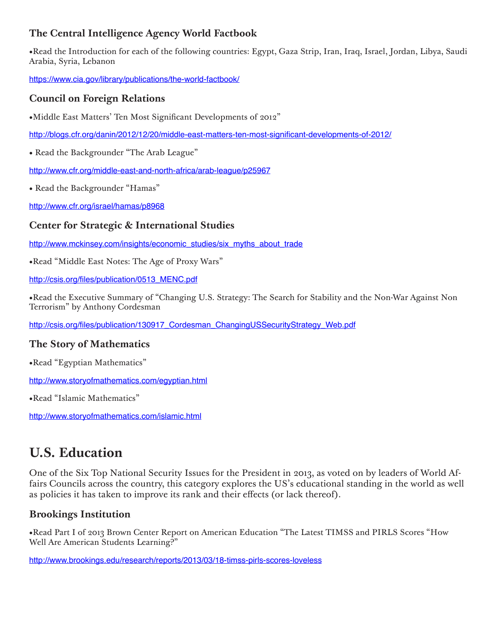# **The Central Intelligence Agency World Factbook**

•Read the Introduction for each of the following countries: Egypt, Gaza Strip, Iran, Iraq, Israel, Jordan, Libya, Saudi Arabia, Syria, Lebanon

https://www.cia.gov/library/publications/the-world-factbook/

#### **Council on Foreign Relations**

•Middle East Matters' Ten Most Significant Developments of 2012"

http://blogs.cfr.org/danin/2012/12/20/middle-east-matters-ten-most-significant-developments-of-2012/

• Read the Backgrounder "The Arab League"

http://www.cfr.org/middle-east-and-north-africa/arab-league/p25967

• Read the Backgrounder "Hamas"

http://www.cfr.org/israel/hamas/p8968

#### **Center for Strategic & International Studies**

http://www.mckinsey.com/insights/economic\_studies/six\_myths\_about\_trade

•Read "Middle East Notes: The Age of Proxy Wars"

http://csis.org/files/publication/0513\_MENC.pdf

•Read the Executive Summary of "Changing U.S. Strategy: The Search for Stability and the Non-War Against Non Terrorism" by Anthony Cordesman

http://csis.org/files/publication/130917\_Cordesman\_ChangingUSSecurityStrategy\_Web.pdf

#### **The Story of Mathematics**

•Read "Egyptian Mathematics"

http://www.storyofmathematics.com/egyptian.html

•Read "Islamic Mathematics"

http://www.storyofmathematics.com/islamic.html

# **U.S. Education**

One of the Six Top National Security Issues for the President in 2013, as voted on by leaders of World Affairs Councils across the country, this category explores the US's educational standing in the world as well as policies it has taken to improve its rank and their effects (or lack thereof).

#### **Brookings Institution**

•Read Part I of 2013 Brown Center Report on American Education "The Latest TIMSS and PIRLS Scores "How Well Are American Students Learning?"

http://www.brookings.edu/research/reports/2013/03/18-timss-pirls-scores-loveless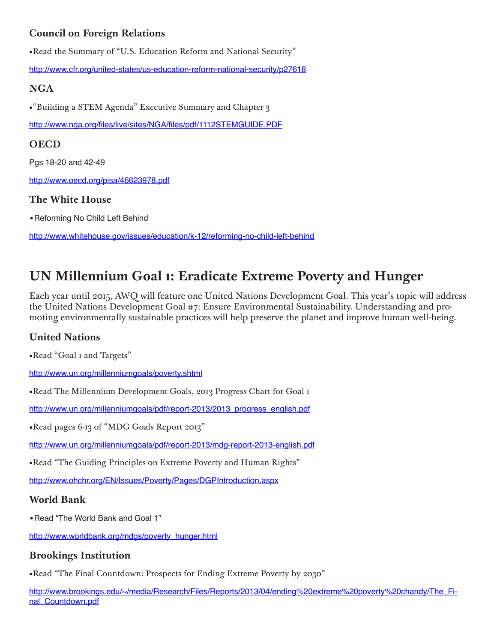# **Council on Foreign Relations**

•Read the Summary of "U.S. Education Reform and National Security"

http://www.cfr.org/united-states/us-education-reform-national-security/p27618

# **NGA**

•"Building a STEM Agenda" Executive Summary and Chapter 3

http://www.nga.org/files/live/sites/NGA/files/pdf/1112STEMGUIDE.PDF

# **OECD**

Pgs 18-20 and 42-49

http://www.oecd.org/pisa/46623978.pdf

## **The White House**

•Reforming No Child Left Behind

http://www.whitehouse.gov/issues/education/k-12/reforming-no-child-left-behind

# **UN Millennium Goal 1: Eradicate Extreme Poverty and Hunger**

Each year until 2015, AWQ will feature one United Nations Development Goal. This year's topic will address the United Nations Development Goal #7: Ensure Environmental Sustainability. Understanding and promoting environmentally sustainable practices will help preserve the planet and improve human well-being.

# **United Nations**

•Read "Goal 1 and Targets"

http://www.un.org/millenniumgoals/poverty.shtml

•Read The Millennium Development Goals, 2013 Progress Chart for Goal 1

http://www.un.org/millenniumgoals/pdf/report-2013/2013\_progress\_english.pdf

•Read pages 6-13 of "MDG Goals Report 2013"

http://www.un.org/millenniumgoals/pdf/report-2013/mdg-report-2013-english.pdf

•Read "The Guiding Principles on Extreme Poverty and Human Rights"

http://www.ohchr.org/EN/Issues/Poverty/Pages/DGPIntroduction.aspx

# **World Bank**

•Read "The World Bank and Goal 1"

http://www.worldbank.org/mdgs/poverty\_hunger.html

# **Brookings Institution**

•Read "The Final Countdown: Prospects for Ending Extreme Poverty by 2030"

http://www.brookings.edu/~/media/Research/Files/Reports/2013/04/ending%20extreme%20poverty%20chandy/The\_Final\_Countdown.pdf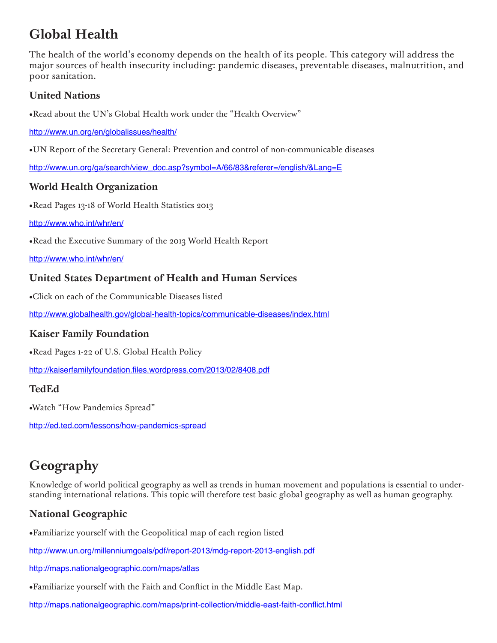# **Global Health**

The health of the world's economy depends on the health of its people. This category will address the major sources of health insecurity including: pandemic diseases, preventable diseases, malnutrition, and poor sanitation.

## **United Nations**

•Read about the UN's Global Health work under the "Health Overview"

http://www.un.org/en/globalissues/health/

•UN Report of the Secretary General: Prevention and control of non-communicable diseases

http://www.un.org/ga/search/view\_doc.asp?symbol=A/66/83&referer=/english/&Lang=E

#### **World Health Organization**

•Read Pages 13-18 of World Health Statistics 2013

#### http://www.who.int/whr/en/

•Read the Executive Summary of the 2013 World Health Report

http://www.who.int/whr/en/

#### **United States Department of Health and Human Services**

•Click on each of the Communicable Diseases listed

http://www.globalhealth.gov/global-health-topics/communicable-diseases/index.html

#### **Kaiser Family Foundation**

•Read Pages 1-22 of U.S. Global Health Policy

http://kaiserfamilyfoundation.files.wordpress.com/2013/02/8408.pdf

#### **TedEd**

•Watch "How Pandemics Spread"

http://ed.ted.com/lessons/how-pandemics-spread

# **Geography**

Knowledge of world political geography as well as trends in human movement and populations is essential to understanding international relations. This topic will therefore test basic global geography as well as human geography.

# **National Geographic**

•Familiarize yourself with the Geopolitical map of each region listed

http://www.un.org/millenniumgoals/pdf/report-2013/mdg-report-2013-english.pdf

http://maps.nationalgeographic.com/maps/atlas

•Familiarize yourself with the Faith and Conflict in the Middle East Map.

http://maps.nationalgeographic.com/maps/print-collection/middle-east-faith-conflict.html